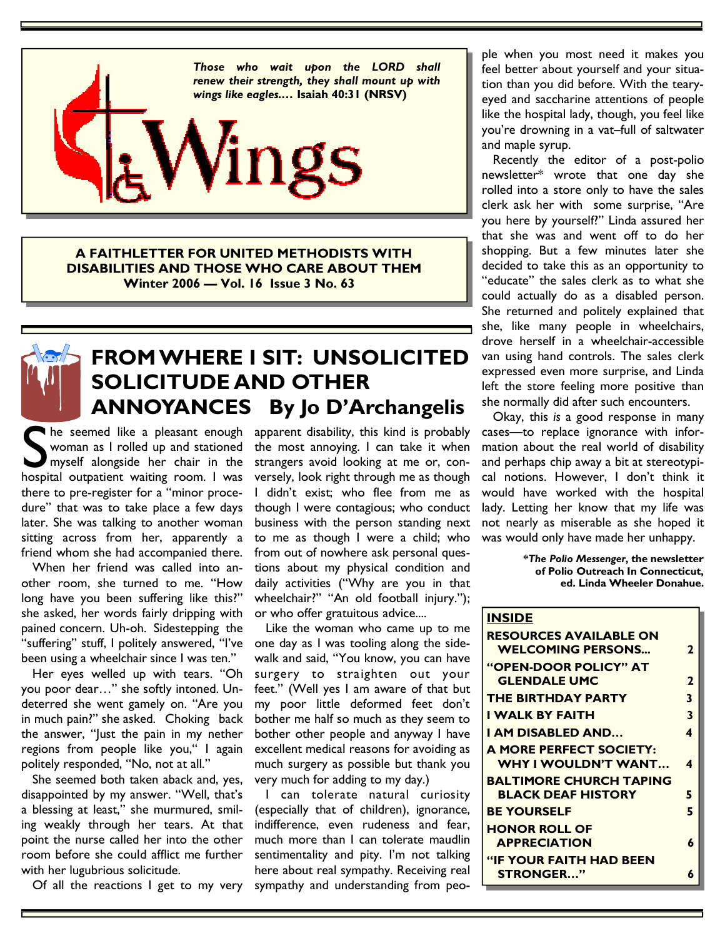

**A FAITHLETTER FOR UNITED METHODISTS WITH DISABILITIES AND THOSE WHO CARE ABOUT THEM Winter 2006 — Vol. 16 Issue 3 No. 63** 



### **FROM WHERE I SIT: UNSOLICITED SOLICITUDE AND OTHER ANNOYANCES By Jo D'Archangelis**

S he seemed like a pleasant enough<br>
woman as I rolled up and stationed<br>
myself alongside her chair in the<br>
hospital outpatient waiting room. I was woman as I rolled up and stationed myself alongside her chair in the hospital outpatient waiting room. I was there to pre-register for a "minor procedure" that was to take place a few days later. She was talking to another woman sitting across from her, apparently a friend whom she had accompanied there.

 When her friend was called into another room, she turned to me. "How long have you been suffering like this?" she asked, her words fairly dripping with pained concern. Uh-oh. Sidestepping the "suffering" stuff, I politely answered, "I've been using a wheelchair since I was ten."

 Her eyes welled up with tears. "Oh you poor dear…" she softly intoned. Undeterred she went gamely on. "Are you in much pain?" she asked. Choking back the answer, "Just the pain in my nether regions from people like you," I again politely responded, "No, not at all."

 She seemed both taken aback and, yes, disappointed by my answer. "Well, that's a blessing at least," she murmured, smiling weakly through her tears. At that point the nurse called her into the other room before she could afflict me further with her lugubrious solicitude.

Of all the reactions I get to my very

apparent disability, this kind is probably the most annoying. I can take it when strangers avoid looking at me or, conversely, look right through me as though I didn't exist; who flee from me as though I were contagious; who conduct business with the person standing next to me as though I were a child; who from out of nowhere ask personal questions about my physical condition and daily activities ("Why are you in that wheelchair?" "An old football injury."); or who offer gratuitous advice....

 Like the woman who came up to me one day as I was tooling along the sidewalk and said, "You know, you can have surgery to straighten out your feet." (Well yes I am aware of that but my poor little deformed feet don't bother me half so much as they seem to bother other people and anyway I have excellent medical reasons for avoiding as much surgery as possible but thank you very much for adding to my day.)

 I can tolerate natural curiosity (especially that of children), ignorance, indifference, even rudeness and fear, much more than I can tolerate maudlin sentimentality and pity. I'm not talking here about real sympathy. Receiving real sympathy and understanding from people when you most need it makes you feel better about yourself and your situation than you did before. With the tearyeyed and saccharine attentions of people like the hospital lady, though, you feel like you're drowning in a vat–full of saltwater and maple syrup.

 Recently the editor of a post-polio newsletter\* wrote that one day she rolled into a store only to have the sales clerk ask her with some surprise, "Are you here by yourself?" Linda assured her that she was and went off to do her shopping. But a few minutes later she decided to take this as an opportunity to "educate" the sales clerk as to what she could actually do as a disabled person. She returned and politely explained that she, like many people in wheelchairs, drove herself in a wheelchair-accessible van using hand controls. The sales clerk expressed even more surprise, and Linda left the store feeling more positive than she normally did after such encounters.

 Okay, this *is* a good response in many cases—to replace ignorance with information about the real world of disability and perhaps chip away a bit at stereotypical notions. However, I don't think it would have worked with the hospital lady. Letting her know that my life was not nearly as miserable as she hoped it was would only have made her unhappy.

> **\****The Polio Messenger***, the newsletter of Polio Outreach In Connecticut, ed. Linda Wheeler Donahue.**

| <b>INSIDE</b>                  |              |
|--------------------------------|--------------|
| <b>RESOURCES AVAILABLE ON</b>  |              |
| <b>WELCOMING PERSONS</b>       | $\mathbf{2}$ |
| "OPEN-DOOR POLICY" AT          |              |
| <b>GLENDALE UMC</b>            | $\mathbf{2}$ |
| <b>THE BIRTHDAY PARTY</b>      | 3            |
| I WALK BY FAITH                | 3            |
| I AM DISABLED AND              | 4            |
| <b>A MORE PERFECT SOCIETY:</b> |              |
| WHY I WOULDN'T WANT            | 4            |
| <b>BALTIMORE CHURCH TAPING</b> |              |
| <b>BLACK DEAF HISTORY</b>      | 5            |
| <b>BE YOURSELF</b>             | 5            |
| <b>HONOR ROLL OF</b>           |              |
| <b>APPRECIATION</b>            | 6            |
| <b>"IF YOUR FAITH HAD BEEN</b> |              |
| <b>STRONGER"</b>               | 6            |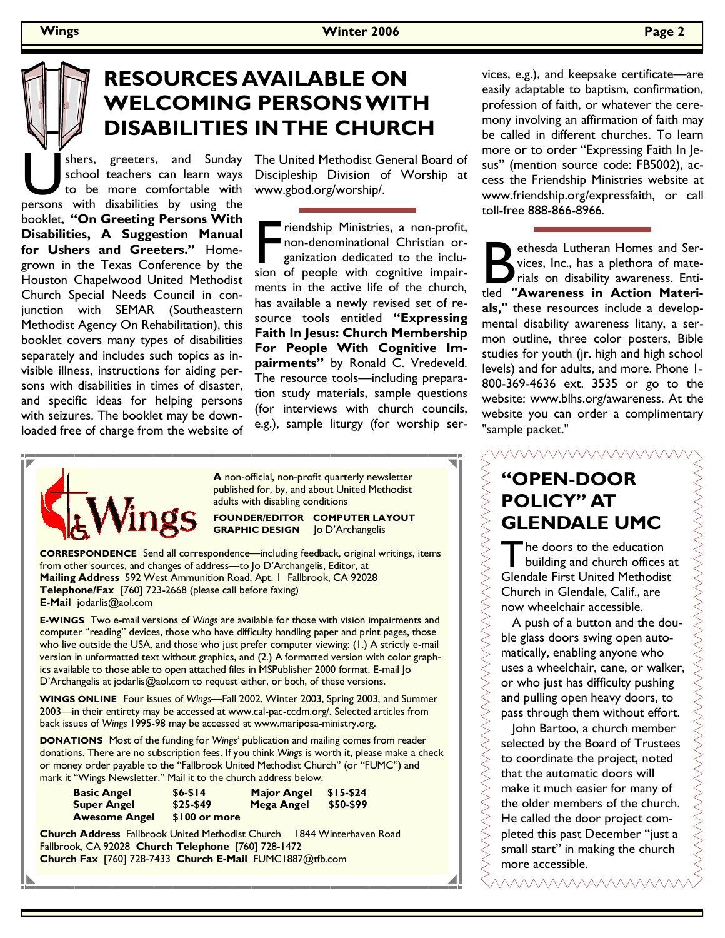# **RESOURCES AVAILABLE ON WELCOMING PERSONS WITH DISABILITIES IN THE CHURCH**

shers, greeters, and Sunday school teachers can learn ways to be more comfortable with persons with disabilities by using the school teachers can learn ways to be more comfortable with booklet, **"On Greeting Persons With Disabilities, A Suggestion Manual for Ushers and Greeters."** Homegrown in the Texas Conference by the Houston Chapelwood United Methodist Church Special Needs Council in conjunction with SEMAR (Southeastern Methodist Agency On Rehabilitation), this booklet covers many types of disabilities separately and includes such topics as invisible illness, instructions for aiding persons with disabilities in times of disaster, and specific ideas for helping persons with seizures. The booklet may be downloaded free of charge from the website of

The United Methodist General Board of Discipleship Division of Worship at www.gbod.org/worship/.

Friendship Ministries, a non-profit,<br>
non-denominational Christian or-<br>
ganization dedicated to the inclu-<br>
sion of people with cognitive impairnon-denominational Christian organization dedicated to the incluments in the active life of the church, has available a newly revised set of resource tools entitled **"Expressing Faith In Jesus: Church Membership For People With Cognitive Impairments"** by Ronald C. Vredeveld. The resource tools—including preparation study materials, sample questions (for interviews with church councils, e.g.), sample liturgy (for worship ser-



**A** non-official, non-profit quarterly newsletter published for, by, and about United Methodist adults with disabling conditions

**FOUNDER/EDITOR COMPUTER LAYOUT GRAPHIC DESIGN** Jo D'Archangelis

**CORRESPONDENCE** Send all correspondence—including feedback, original writings, items from other sources, and changes of address—to Jo D'Archangelis, Editor, at **Mailing Address** 592 West Ammunition Road, Apt. 1 Fallbrook, CA 92028 **Telephone/Fax** [760] 723-2668 (please call before faxing) **E-Mail** jodarlis@aol.com

**E-WINGS** Two e-mail versions of *Wings* are available for those with vision impairments and computer "reading" devices, those who have difficulty handling paper and print pages, those who live outside the USA, and those who just prefer computer viewing: (1.) A strictly e-mail version in unformatted text without graphics, and (2.) A formatted version with color graphics available to those able to open attached files in MSPublisher 2000 format. E-mail Jo D'Archangelis at jodarlis@aol.com to request either, or both, of these versions.

**WINGS ONLINE** Four issues of *Wings—*Fall 2002, Winter 2003, Spring 2003, and Summer 2003—in their entirety may be accessed at www.cal-pac-ccdm.org/. Selected articles from back issues of *Wings* 1995-98 may be accessed at www.mariposa-ministry.org.

**DONATIONS** Most of the funding for *Wings'* publication and mailing comes from reader donations. There are no subscription fees. If you think *Wings* is worth it, please make a check or money order payable to the "Fallbrook United Methodist Church" (or "FUMC") and mark it "Wings Newsletter." Mail it to the church address below.

| <b>Basic Angel</b>   | $$6 - $14$    | <b>Major Angel</b> | $$15-$24$ |
|----------------------|---------------|--------------------|-----------|
| <b>Super Angel</b>   | \$25-\$49     | Mega Angel         | \$50-\$99 |
| <b>Awesome Angel</b> | \$100 or more |                    |           |

**Church Address** Fallbrook United Methodist Church 1844 Winterhaven Road Fallbrook, CA 92028 **Church Telephone** [760] 728-1472 **Church Fax** [760] 728-7433 **Church E-Mail** FUMC1887@tfb.com

vices, e.g.), and keepsake certificate—are easily adaptable to baptism, confirmation, profession of faith, or whatever the ceremony involving an affirmation of faith may be called in different churches. To learn more or to order "Expressing Faith In Jesus" (mention source code: FB5002), access the Friendship Ministries website at www.friendship.org/expressfaith, or call toll-free 888-866-8966.

ethesda Lutheran Homes and Services, Inc., has a plethora of materials on disability awareness. Entitled "Awareness in Action Materivices, Inc., has a plethora of materials on disability awareness. Enti**als,"** these resources include a developmental disability awareness litany, a sermon outline, three color posters, Bible studies for youth (jr. high and high school levels) and for adults, and more. Phone 1- 800-369-4636 ext. 3535 or go to the website: www.blhs.org/awareness. At the website you can order a complimentary "sample packet."

**WWWWW** 

## **"OPEN-DOOR POLICY" AT GLENDALE UMC**

The doors to the education<br>
building and church offices at<br>
Clandele First United Methodist Glendale First United Methodist Church in Glendale, Calif., are now wheelchair accessible.

 A push of a button and the double glass doors swing open automatically, enabling anyone who uses a wheelchair, cane, or walker, or who just has difficulty pushing and pulling open heavy doors, to pass through them without effort.

 John Bartoo, a church member selected by the Board of Trustees to coordinate the project, noted that the automatic doors will make it much easier for many of the older members of the church. He called the door project completed this past December "just a small start" in making the church more accessible.

<u>WWWWWWWWW</u>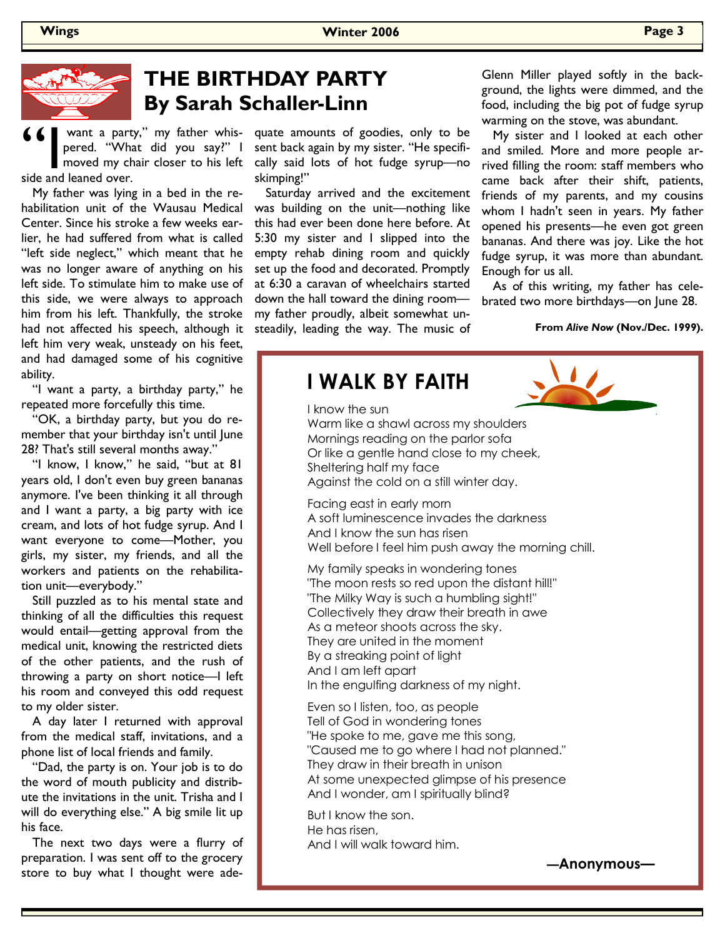

### **THE BIRTHDAY PARTY By Sarah Schaller-Linn**

**66** want a party," my father whis-<br>pered. "What did you say?" I moved my chair closer to his left<br>side and leaned over. pered. "What did you say?" I moved my chair closer to his left side and leaned over.

 My father was lying in a bed in the rehabilitation unit of the Wausau Medical Center. Since his stroke a few weeks earlier, he had suffered from what is called "left side neglect," which meant that he was no longer aware of anything on his left side. To stimulate him to make use of this side, we were always to approach him from his left. Thankfully, the stroke had not affected his speech, although it left him very weak, unsteady on his feet, and had damaged some of his cognitive ability.

 "I want a party, a birthday party," he repeated more forcefully this time.

 "OK, a birthday party, but you do remember that your birthday isn't until June 28? That's still several months away."

 "I know, I know," he said, "but at 81 years old, I don't even buy green bananas anymore. I've been thinking it all through and I want a party, a big party with ice cream, and lots of hot fudge syrup. And I want everyone to come—Mother, you girls, my sister, my friends, and all the workers and patients on the rehabilitation unit—everybody."

 Still puzzled as to his mental state and thinking of all the difficulties this request would entail—getting approval from the medical unit, knowing the restricted diets of the other patients, and the rush of throwing a party on short notice—I left his room and conveyed this odd request to my older sister.

 A day later I returned with approval from the medical staff, invitations, and a phone list of local friends and family.

 "Dad, the party is on. Your job is to do the word of mouth publicity and distribute the invitations in the unit. Trisha and I will do everything else." A big smile lit up his face.

 The next two days were a flurry of preparation. I was sent off to the grocery store to buy what I thought were adequate amounts of goodies, only to be sent back again by my sister. "He specifically said lots of hot fudge syrup—no skimping!"

 Saturday arrived and the excitement was building on the unit—nothing like this had ever been done here before. At 5:30 my sister and I slipped into the empty rehab dining room and quickly set up the food and decorated. Promptly at 6:30 a caravan of wheelchairs started down the hall toward the dining room my father proudly, albeit somewhat unsteadily, leading the way. The music of

Glenn Miller played softly in the background, the lights were dimmed, and the food, including the big pot of fudge syrup warming on the stove, was abundant.

 My sister and I looked at each other and smiled. More and more people arrived filling the room: staff members who came back after their shift, patients, friends of my parents, and my cousins whom I hadn't seen in years. My father opened his presents—he even got green bananas. And there was joy. Like the hot fudge syrup, it was more than abundant. Enough for us all.

 As of this writing, my father has celebrated two more birthdays—on June 28.

**From** *Alive Now* **(Nov./Dec. 1999).**

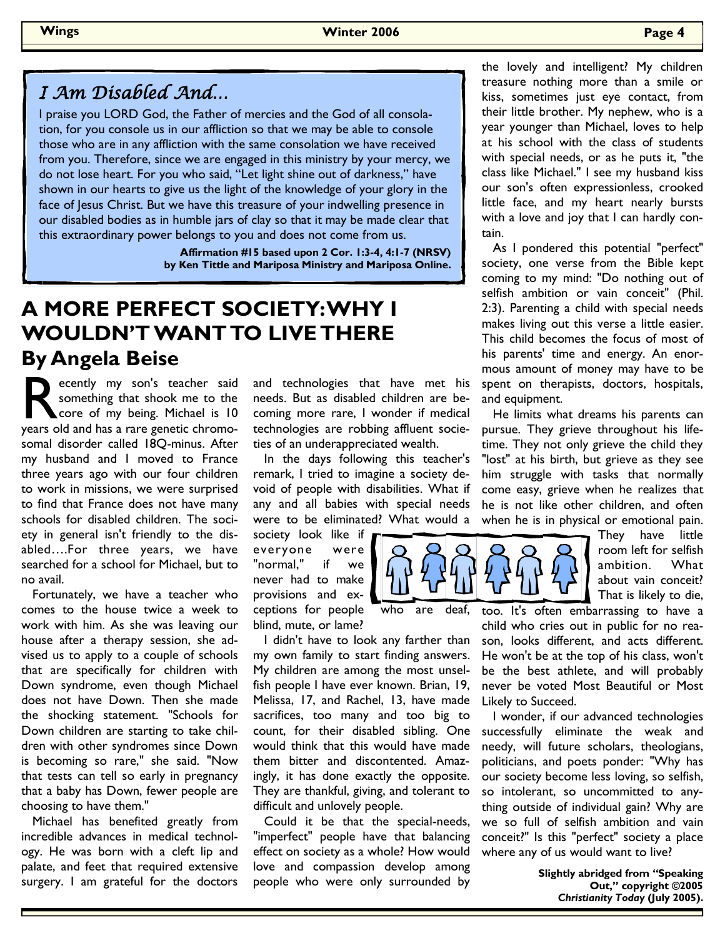### I Am Disabled And…

I praise you LORD God, the Father of mercies and the God of all consolation, for you console us in our affliction so that we may be able to console those who are in any affliction with the same consolation we have received from you. Therefore, since we are engaged in this ministry by your mercy, we do not lose heart. For you who said, "Let light shine out of darkness," have shown in our hearts to give us the light of the knowledge of your glory in the face of Jesus Christ. But we have this treasure of your indwelling presence in our disabled bodies as in humble jars of clay so that it may be made clear that this extraordinary power belongs to you and does not come from us.

> **Affirmation #15 based upon 2 Cor. 1:3-4, 4:1-7 (NRSV) by Ken Tittle and Mariposa Ministry and Mariposa Online.**

## **A MORE PERFECT SOCIETY: WHY I WOULDN'T WANT TO LIVE THERE By Angela Beise**

ecently my son's teacher said<br>
something that shook me to the<br>
years old and has a rare genetic chromosomething that shook me to the core of my being. Michael is 10 somal disorder called 18Q-minus. After my husband and I moved to France three years ago with our four children to work in missions, we were surprised to find that France does not have many schools for disabled children. The society in general isn't friendly to the disabled….For three years, we have searched for a school for Michael, but to no avail.

 Fortunately, we have a teacher who comes to the house twice a week to work with him. As she was leaving our house after a therapy session, she advised us to apply to a couple of schools that are specifically for children with Down syndrome, even though Michael does not have Down. Then she made the shocking statement. "Schools for Down children are starting to take children with other syndromes since Down is becoming so rare," she said. "Now that tests can tell so early in pregnancy that a baby has Down, fewer people are choosing to have them."

 Michael has benefited greatly from incredible advances in medical technology. He was born with a cleft lip and palate, and feet that required extensive surgery. I am grateful for the doctors

and technologies that have met his needs. But as disabled children are becoming more rare, I wonder if medical technologies are robbing affluent societies of an underappreciated wealth.

 In the days following this teacher's remark, I tried to imagine a society devoid of people with disabilities. What if any and all babies with special needs were to be eliminated? What would a

society look like if everyone were "normal," if we never had to make provisions and exceptions for people who are deaf, blind, mute, or lame?

 I didn't have to look any farther than my own family to start finding answers. My children are among the most unselfish people I have ever known. Brian, 19, Melissa, 17, and Rachel, 13, have made sacrifices, too many and too big to count, for their disabled sibling. One would think that this would have made them bitter and discontented. Amazingly, it has done exactly the opposite. They are thankful, giving, and tolerant to difficult and unlovely people.

 Could it be that the special-needs, "imperfect" people have that balancing effect on society as a whole? How would love and compassion develop among people who were only surrounded by

the lovely and intelligent? My children treasure nothing more than a smile or kiss, sometimes just eye contact, from their little brother. My nephew, who is a year younger than Michael, loves to help at his school with the class of students with special needs, or as he puts it, "the class like Michael." I see my husband kiss our son's often expressionless, crooked little face, and my heart nearly bursts with a love and joy that I can hardly contain.

 As I pondered this potential "perfect" society, one verse from the Bible kept coming to my mind: "Do nothing out of selfish ambition or vain conceit" (Phil. 2:3). Parenting a child with special needs makes living out this verse a little easier. This child becomes the focus of most of his parents' time and energy. An enormous amount of money may have to be spent on therapists, doctors, hospitals, and equipment.

 He limits what dreams his parents can pursue. They grieve throughout his lifetime. They not only grieve the child they "lost" at his birth, but grieve as they see him struggle with tasks that normally come easy, grieve when he realizes that he is not like other children, and often when he is in physical or emotional pain.



They have little room left for selfish ambition. What about vain conceit? That is likely to die,

too. It's often embarrassing to have a child who cries out in public for no reason, looks different, and acts different. He won't be at the top of his class, won't be the best athlete, and will probably never be voted Most Beautiful or Most Likely to Succeed.

 I wonder, if our advanced technologies successfully eliminate the weak and needy, will future scholars, theologians, politicians, and poets ponder: "Why has our society become less loving, so selfish, so intolerant, so uncommitted to anything outside of individual gain? Why are we so full of selfish ambition and vain conceit?" Is this "perfect" society a place where any of us would want to live?

> **Slightly abridged from "Speaking Out," copyright ©2005**  *Christianity Today* **(July 2005).**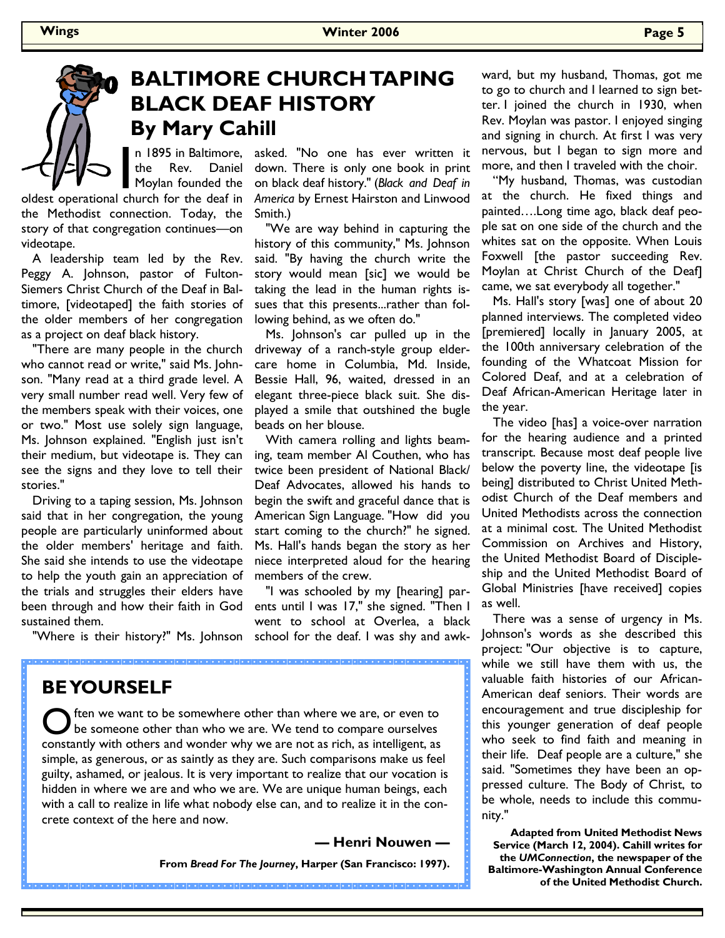# **BALTIMORE CHURCH TAPING BLACK DEAF HISTORY By Mary Cahill**

the Rev. Daniel Moylan founded the

**EVEN SEALTHER SEALTHER IN THE SEALTHER SEALTHER SEALTHER SEALTHER SEALTHER SEALTHER SEALTHER SEALTHER SEALTHER SEALTHER SEALTHER SEALTHER SEALTHER SEALTHER SEALTHER SEALTHER SEALTHER SEALTHER SEALTHER SEALTHER SEALTHER SE** the Methodist connection. Today, the story of that congregation continues—on videotape.

 A leadership team led by the Rev. Peggy A. Johnson, pastor of Fulton-Siemers Christ Church of the Deaf in Baltimore, [videotaped] the faith stories of the older members of her congregation as a project on deaf black history.

 "There are many people in the church who cannot read or write," said Ms. Johnson. "Many read at a third grade level. A very small number read well. Very few of the members speak with their voices, one or two." Most use solely sign language, Ms. Johnson explained. "English just isn't their medium, but videotape is. They can see the signs and they love to tell their stories."

 Driving to a taping session, Ms. Johnson said that in her congregation, the young people are particularly uninformed about the older members' heritage and faith. She said she intends to use the videotape to help the youth gain an appreciation of the trials and struggles their elders have been through and how their faith in God sustained them.

"Where is their history?" Ms. Johnson

#### asked. "No one has ever written it down. There is only one book in print on black deaf history." (*Black and Deaf in America* by Ernest Hairston and Linwood Smith.)

 "We are way behind in capturing the history of this community," Ms. Johnson said. "By having the church write the story would mean [sic] we would be taking the lead in the human rights issues that this presents...rather than following behind, as we often do."

 Ms. Johnson's car pulled up in the driveway of a ranch-style group eldercare home in Columbia, Md. Inside, Bessie Hall, 96, waited, dressed in an elegant three-piece black suit. She displayed a smile that outshined the bugle beads on her blouse.

 With camera rolling and lights beaming, team member Al Couthen, who has twice been president of National Black/ Deaf Advocates, allowed his hands to begin the swift and graceful dance that is American Sign Language. "How did you start coming to the church?" he signed. Ms. Hall's hands began the story as her niece interpreted aloud for the hearing members of the crew.

 "I was schooled by my [hearing] parents until I was 17," she signed. "Then I went to school at Overlea, a black school for the deaf. I was shy and awk-

### **BE YOURSELF**

O ften we want to be somewhere other than where we are, or even to be someone other than who we are. We tend to compare ourselves constantly with others and wonder why we are not as rich, as intelligent, as simple, as generous, or as saintly as they are. Such comparisons make us feel guilty, ashamed, or jealous. It is very important to realize that our vocation is hidden in where we are and who we are. We are unique human beings, each with a call to realize in life what nobody else can, and to realize it in the concrete context of the here and now.

**— Henri Nouwen —** 

**From** *Bread For The Journey***, Harper (San Francisco: 1997).** 

ward, but my husband, Thomas, got me to go to church and I learned to sign better. I joined the church in 1930, when Rev. Moylan was pastor. I enjoyed singing and signing in church. At first I was very nervous, but I began to sign more and more, and then I traveled with the choir.

 "My husband, Thomas, was custodian at the church. He fixed things and painted….Long time ago, black deaf people sat on one side of the church and the whites sat on the opposite. When Louis Foxwell [the pastor succeeding Rev. Moylan at Christ Church of the Deaf] came, we sat everybody all together."

 Ms. Hall's story [was] one of about 20 planned interviews. The completed video [premiered] locally in January 2005, at the 100th anniversary celebration of the founding of the Whatcoat Mission for Colored Deaf, and at a celebration of Deaf African-American Heritage later in the year.

 The video [has] a voice-over narration for the hearing audience and a printed transcript. Because most deaf people live below the poverty line, the videotape [is being] distributed to Christ United Methodist Church of the Deaf members and United Methodists across the connection at a minimal cost. The United Methodist Commission on Archives and History, the United Methodist Board of Discipleship and the United Methodist Board of Global Ministries [have received] copies as well.

 There was a sense of urgency in Ms. Johnson's words as she described this project: "Our objective is to capture, while we still have them with us, the valuable faith histories of our African-American deaf seniors. Their words are encouragement and true discipleship for this younger generation of deaf people who seek to find faith and meaning in their life. Deaf people are a culture," she said. "Sometimes they have been an oppressed culture. The Body of Christ, to be whole, needs to include this community."

**Adapted from United Methodist News Service (March 12, 2004). Cahill writes for the** *UMConnection***, the newspaper of the Baltimore-Washington Annual Conference of the United Methodist Church.**